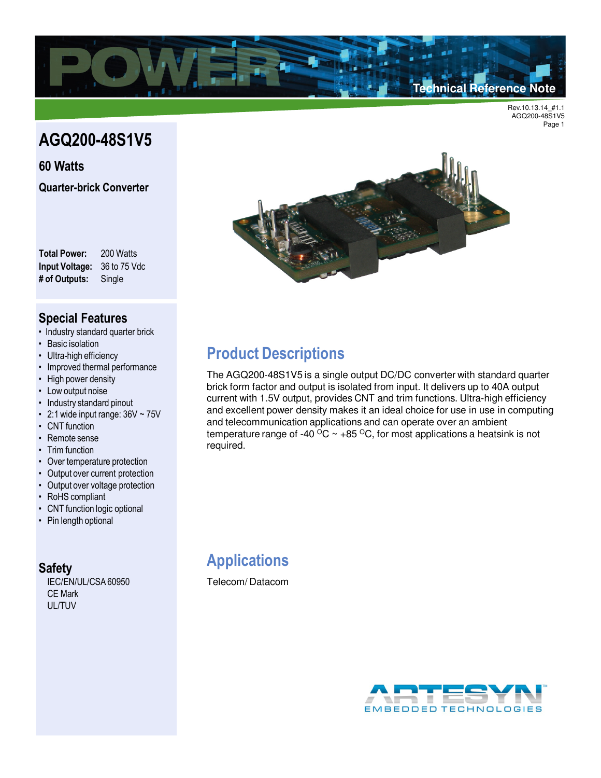

# **AGQ200-48S1V5**

**60 Watts Quarter-brick Converter**

**Total Power:** 200 Watts **Input Voltage:** 36 to 75 Vdc **# of Outputs:** Single

### **Special Features**

- Industry standard quarter brick
- Basic isolation
- Ultra-high efficiency
- Improved thermal performance
- High power density
- Low output noise
- Industry standard pinout
- 2:1 wide input range:  $36V \sim 75V$
- CNT function
- Remote sense
- Trim function
- Over temperature protection
- Output over current protection
- Output over voltage protection
- RoHS compliant
- CNT function logic optional
- Pin length optional

#### **Safety**

IEC/EN/UL/CSA 60950 CE Mark UL/TUV



## **Product Descriptions**

The AGQ200-48S1V5 is a single output DC/DC converter with standard quarter brick form factor and output is isolated from input. It delivers up to 40A output current with 1.5V output, provides CNT and trim functions. Ultra-high efficiency and excellent power density makes it an ideal choice for use in use in computing and telecommunication applications and can operate over an ambient temperature range of -40  $\rm{^{\circ}C}$  ~ +85  $\rm{^{\circ}C}$ , for most applications a heatsink is not required.

# **Applications**

Telecom/ Datacom

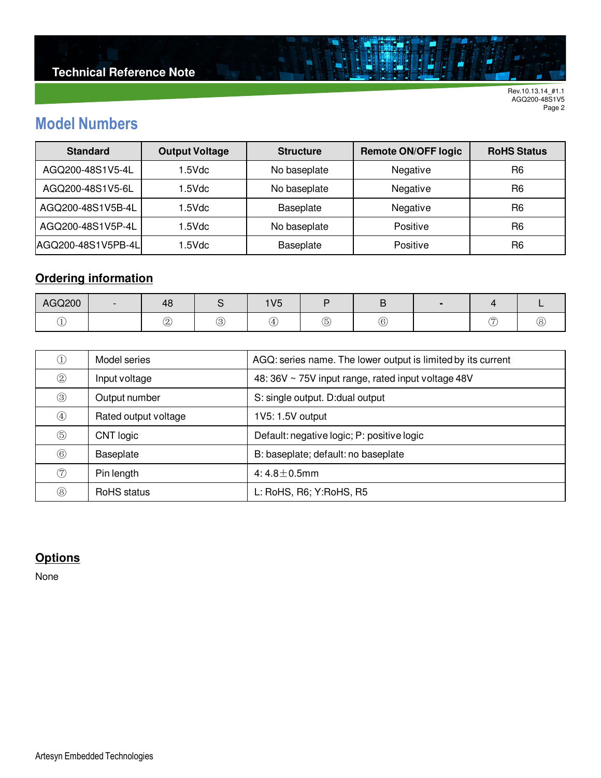# **Model Numbers**

| <b>Standard</b>    | <b>Output Voltage</b> | <b>Structure</b>         | <b>Remote ON/OFF logic</b> | <b>RoHS Status</b> |
|--------------------|-----------------------|--------------------------|----------------------------|--------------------|
| AGQ200-48S1V5-4L   | 1.5Vdc                | Negative<br>No baseplate |                            | R <sub>6</sub>     |
| AGQ200-48S1V5-6L   | 1.5Vdc                | No baseplate             | Negative                   |                    |
| AGQ200-48S1V5B-4L  | 1.5Vdc                | Baseplate                | Negative                   | R <sub>6</sub>     |
| AGQ200-48S1V5P-4L  | .5Vdc                 | No baseplate             | Positive                   | R <sub>6</sub>     |
| AGQ200-48S1V5PB-4L | .5Vdc                 | Positive<br>Baseplate    |                            | R <sub>6</sub>     |

ä

## **Ordering information**

| AGQ200 | $-$ | $\overline{ }$<br>48 |   | 1V <sub>5</sub> |    |   |   |    |
|--------|-----|----------------------|---|-----------------|----|---|---|----|
|        |     | ำ<br>◡               | ◡ | $\Delta$        | G, | 6 | ∼ | Ö. |

| $\left( 1\right)$ | Model series         | AGQ: series name. The lower output is limited by its current |
|-------------------|----------------------|--------------------------------------------------------------|
| $\circled{2}$     | Input voltage        | 48: 36V ~ 75V input range, rated input voltage 48V           |
| $\circledS$       | Output number        | S: single output. D: dual output                             |
| $\circled{4}$     | Rated output voltage | 1V5: 1.5V output                                             |
| $\circledS$       | CNT logic            | Default: negative logic; P: positive logic                   |
| $\circled6$       | Baseplate            | B: baseplate; default: no baseplate                          |
| (7)               | Pin length           | 4:4.8 $\pm$ 0.5mm                                            |
| $\circledS$       | RoHS status          | L: RoHS, R6; Y:RoHS, R5                                      |

### **Options**

None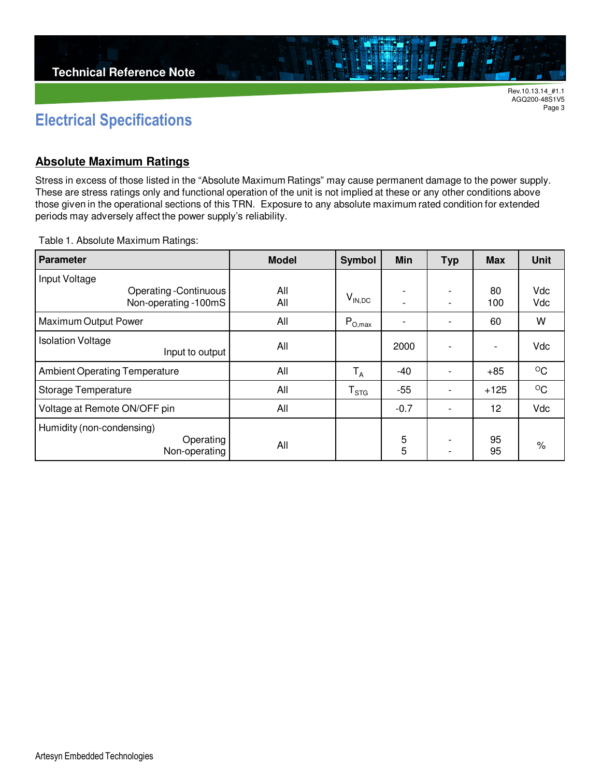

Page 3

## **Electrical Specifications**

#### **Absolute Maximum Ratings**

Stress in excess of those listed in the "Absolute Maximum Ratings" may cause permanent damage to the power supply. These are stress ratings only and functional operation of the unit is not implied at these or any other conditions above those given in the operational sections of this TRN. Exposure to any absolute maximum rated condition for extended periods may adversely affect the power supply's reliability.

Table 1. Absolute Maximum Ratings:

| <b>Parameter</b>                                     | <b>Model</b> | <b>Symbol</b>               | <b>Min</b> | <b>Typ</b>                    | <b>Max</b> | <b>Unit</b>  |
|------------------------------------------------------|--------------|-----------------------------|------------|-------------------------------|------------|--------------|
| Input Voltage                                        |              |                             |            |                               |            |              |
| <b>Operating -Continuous</b><br>Non-operating -100mS | All<br>All   | $V_{IN,DC}$                 |            | ٠<br>٠                        | 80<br>100  | Vdc<br>Vdc   |
| Maximum Output Power                                 | All          | $P_{O,max}$                 |            | $\overline{\phantom{a}}$      | 60         | W            |
| <b>Isolation Voltage</b><br>Input to output          | All          |                             | 2000       |                               |            | Vdc          |
| <b>Ambient Operating Temperature</b>                 | All          | $T_A$                       | -40        |                               | $+85$      | $\circ$ C    |
| Storage Temperature                                  | All          | $\mathsf{T}_{\textsf{STG}}$ | $-55$      | ٠                             | $+125$     | $^{\circ}$ C |
| Voltage at Remote ON/OFF pin                         | All          |                             | $-0.7$     | ٠                             | 12         | Vdc          |
| Humidity (non-condensing)                            |              |                             |            |                               |            |              |
| Operating<br>Non-operating                           | All          |                             | 5<br>5     | ٠<br>$\overline{\phantom{0}}$ | 95<br>95   | %            |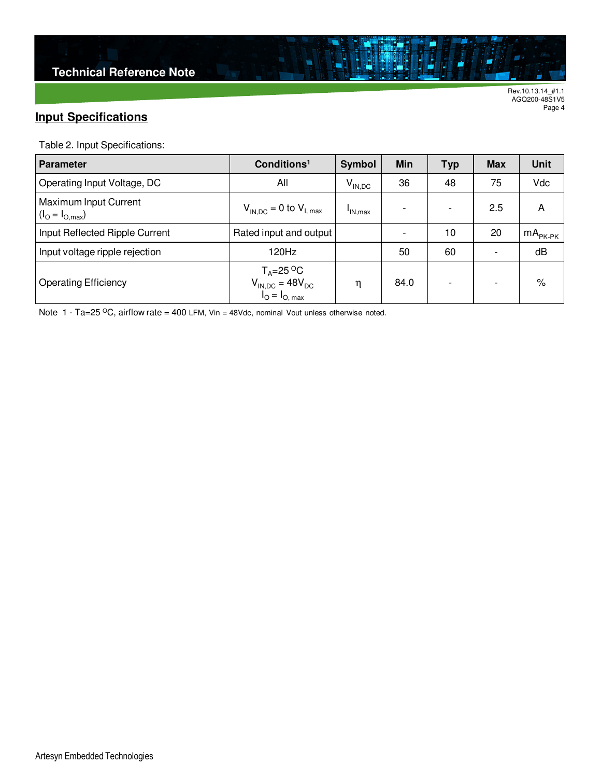## **Input Specifications**

Table 2. Input Specifications:

| <b>Parameter</b>                                       | Conditions <sup>1</sup><br>Symbol                                                                                     |             | Min  | <b>Typ</b>               | <b>Max</b>               | <b>Unit</b> |
|--------------------------------------------------------|-----------------------------------------------------------------------------------------------------------------------|-------------|------|--------------------------|--------------------------|-------------|
| Operating Input Voltage, DC                            | All                                                                                                                   | $V_{IN,DC}$ | 36   | 48                       | 75                       | Vdc         |
| Maximum Input Current<br>$(I_{\rm O} = I_{\rm O,max})$ | $V_{IN,DC}$ = 0 to $V_{I, max}$                                                                                       | 'IN.max     |      | $\overline{\phantom{0}}$ | 2.5                      | А           |
| Input Reflected Ripple Current                         | Rated input and output                                                                                                |             |      | 10                       | 20                       | $mAPK-PK$   |
| Input voltage ripple rejection                         | 120Hz                                                                                                                 |             | 50   | 60                       | $\overline{\phantom{0}}$ | dB          |
| <b>Operating Efficiency</b>                            | $T_A = 25 \text{ }^{\circ}\text{C}$<br>V <sub>IN,DC</sub> = 48V <sub>DC</sub><br>I <sub>O</sub> = I <sub>O, max</sub> | η           | 84.0 |                          | ۰                        | %           |

ä

Note 1 - Ta=25 °C, airflow rate = 400 LFM, Vin = 48Vdc, nominal Vout unless otherwise noted.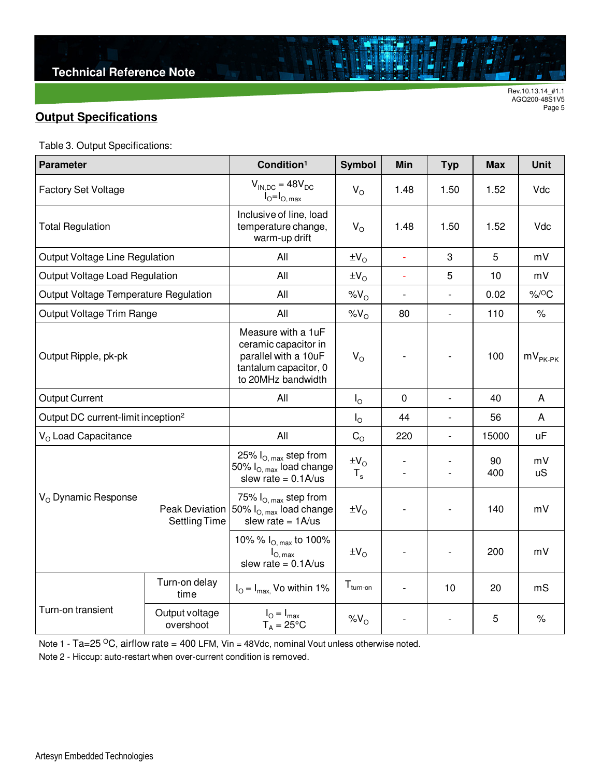## **Output Specifications**

|  | Table 3. Output Specifications: |  |
|--|---------------------------------|--|
|--|---------------------------------|--|

| <b>Parameter</b>                               |                                        | Condition <sup>1</sup>                                                                                            | <b>Symbol</b>                  | Min                      | <b>Typ</b>               | <b>Max</b> | <b>Unit</b>                           |
|------------------------------------------------|----------------------------------------|-------------------------------------------------------------------------------------------------------------------|--------------------------------|--------------------------|--------------------------|------------|---------------------------------------|
| <b>Factory Set Voltage</b>                     |                                        | $V_{\text{IN-DC}} = 48V_{\text{DC}}$<br>$V_{\rm O}$<br>$I_{\odot} = I_{\odot \text{ max}}$                        |                                | 1.48                     | 1.50                     | 1.52       | Vdc                                   |
| <b>Total Regulation</b>                        |                                        | Inclusive of line, load<br>temperature change,<br>warm-up drift                                                   | $V_{\rm O}$                    | 1.48                     | 1.50                     | 1.52       | Vdc                                   |
| Output Voltage Line Regulation                 |                                        | All                                                                                                               | $\pm V_{\rm O}$                | $\Box$                   | 3                        | 5          | mV                                    |
| Output Voltage Load Regulation                 |                                        | All                                                                                                               | $\pm V_O$                      | ä,                       | 5                        | 10         | mV                                    |
| Output Voltage Temperature Regulation          |                                        | All                                                                                                               | %V <sub>O</sub>                | $\blacksquare$           | $\frac{1}{2}$            | 0.02       | $%$ / <sup>O</sup> C                  |
| Output Voltage Trim Range                      |                                        | All                                                                                                               | %V <sub>O</sub>                | 80                       | $\blacksquare$           | 110        | $\%$                                  |
| Output Ripple, pk-pk                           |                                        | Measure with a 1uF<br>ceramic capacitor in<br>parallel with a 10uF<br>tantalum capacitor, 0<br>to 20MHz bandwidth | $V_{\rm O}$                    |                          |                          | 100        | $\mathsf{mV}_{\mathsf{PK\text{-}PK}}$ |
| <b>Output Current</b>                          |                                        | All                                                                                                               | $I_{\rm O}$                    | 0                        | $\overline{\phantom{a}}$ | 40         | A                                     |
| Output DC current-limit inception <sup>2</sup> |                                        |                                                                                                                   | $I_{\Omega}$                   | 44                       | $\overline{\phantom{a}}$ | 56         | A                                     |
| V <sub>o</sub> Load Capacitance                |                                        | All                                                                                                               | $C_{\rm O}$                    | 220                      | $\blacksquare$           | 15000      | <b>uF</b>                             |
|                                                |                                        | 25% $I_{O, max}$ step from<br>50% $I_{\text{O,max}}$ load change<br>slew rate = $0.1$ A/us                        | $\pm V_{\rm O}$<br>$T_{\rm s}$ | $\overline{\phantom{a}}$ | $\overline{\phantom{a}}$ | 90<br>400  | mV<br><b>uS</b>                       |
| V <sub>o</sub> Dynamic Response                | Peak Deviation<br><b>Settling Time</b> | 75% $I_{O, max}$ step from<br>50% $I_{O. max}$ load change<br>slew rate = $1A/us$                                 | $\pm V_O$                      |                          |                          | 140        | mV                                    |
|                                                |                                        | 10% % $I_{O, max}$ to 100%<br>$I_{O, max}$<br>slew rate = $0.1$ A/us                                              | $\pm V_{\rm O}$                |                          | $\overline{\phantom{a}}$ | 200        | mV                                    |
|                                                | Turn-on delay<br>time                  | $I_{\text{O}} = I_{\text{max}}$ , Vo within 1%                                                                    | $T_{turn-on}$                  |                          | 10                       | 20         | mS                                    |
| Turn-on transient                              | Output voltage<br>overshoot            | $I_{\odot} = I_{\text{max}}$<br>$T_A = 25^{\circ}C$                                                               | $%V_{O}$                       |                          |                          | 5          | $\%$                                  |

Note 1 - Ta=25  $\mathrm{^{\circ}C},$  airflow rate = 400 LFM, Vin = 48Vdc, nominal Vout unless otherwise noted.

Note 2 - Hiccup: auto-restart when over-current condition is removed.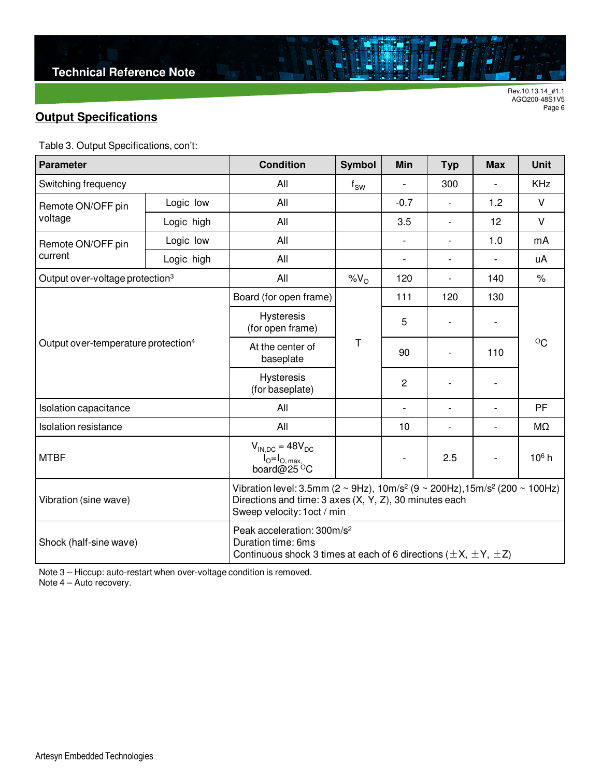## **Output Specifications**

Table 3. Output Specifications, con't:

| <b>Parameter</b>                                |            | <b>Condition</b>                                                                                                                                                                                               | <b>Symbol</b> | Min                      | <b>Typ</b>               | <b>Max</b>               | <b>Unit</b>       |  |
|-------------------------------------------------|------------|----------------------------------------------------------------------------------------------------------------------------------------------------------------------------------------------------------------|---------------|--------------------------|--------------------------|--------------------------|-------------------|--|
| Switching frequency                             |            | All                                                                                                                                                                                                            | $f_{SW}$      |                          | 300                      |                          | <b>KHz</b>        |  |
| Remote ON/OFF pin                               | Logic low  | All                                                                                                                                                                                                            |               | $-0.7$                   | $\overline{\phantom{0}}$ | 1.2                      | $\vee$            |  |
| voltage                                         | Logic high | All                                                                                                                                                                                                            |               | 3.5                      | $\overline{\phantom{0}}$ | 12                       | $\vee$            |  |
| Remote ON/OFF pin<br>current                    | Logic low  | All                                                                                                                                                                                                            |               |                          | L,                       | 1.0                      | mA                |  |
|                                                 | Logic high | All                                                                                                                                                                                                            |               | $\overline{\phantom{a}}$ | $\overline{\phantom{0}}$ |                          | uA                |  |
| Output over-voltage protection <sup>3</sup>     |            | All                                                                                                                                                                                                            | $\%V_{O}$     | 120                      | $\overline{\phantom{a}}$ | 140                      | $\%$              |  |
|                                                 |            | Board (for open frame)                                                                                                                                                                                         |               | 111                      | 120                      | 130                      |                   |  |
|                                                 |            | <b>Hysteresis</b><br>(for open frame)                                                                                                                                                                          |               | 5                        | $\overline{\phantom{a}}$ |                          |                   |  |
| Output over-temperature protection <sup>4</sup> |            | At the center of<br>baseplate                                                                                                                                                                                  | Τ             | 90                       |                          | 110                      | $^{\circ}$ C      |  |
|                                                 |            | <b>Hysteresis</b><br>(for baseplate)                                                                                                                                                                           |               | 2                        |                          |                          |                   |  |
| Isolation capacitance                           |            | All                                                                                                                                                                                                            |               | ÷,                       | $\overline{\phantom{0}}$ | $\overline{\phantom{a}}$ | PF                |  |
| Isolation resistance                            |            | All                                                                                                                                                                                                            |               | 10                       | $\overline{\phantom{a}}$ | $\overline{a}$           | MΩ                |  |
| <b>MTBF</b>                                     |            | $V_{IN,DC} = 48V_{DC}$<br>$I_{\text{O}}=I_{\text{O, max}}$<br>board@25 $^{\circ}$ C                                                                                                                            |               |                          | 2.5                      |                          | 10 <sup>6</sup> h |  |
| Vibration (sine wave)                           |            | Vibration level: 3.5mm ( $2 \sim 9$ Hz), 10m/s <sup>2</sup> ( $9 \sim 200$ Hz), 15m/s <sup>2</sup> (200 $\sim 100$ Hz)<br>Directions and time: 3 axes (X, Y, Z), 30 minutes each<br>Sweep velocity: 1oct / min |               |                          |                          |                          |                   |  |
| Shock (half-sine wave)                          |            | Peak acceleration: 300m/s <sup>2</sup><br>Duration time: 6ms<br>Continuous shock 3 times at each of 6 directions ( $\pm X$ , $\pm Y$ , $\pm Z$ )                                                               |               |                          |                          |                          |                   |  |

ä

Note 3 – Hiccup: auto-restart when over-voltage condition is removed.

Note 4 – Auto recovery.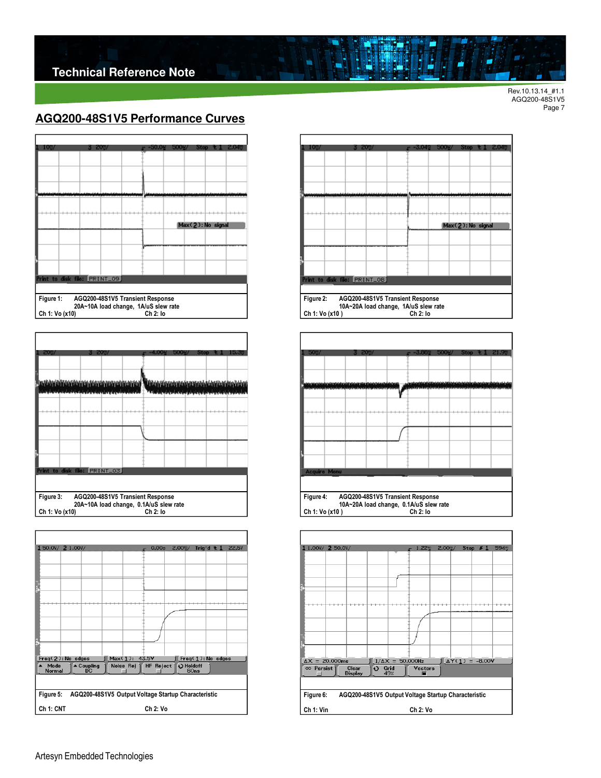### **AGQ200-48S1V5 Performance Curves**



| 20%                           |                           | 20 <sub>0</sub> |                                                                                              | Ston | la a |
|-------------------------------|---------------------------|-----------------|----------------------------------------------------------------------------------------------|------|------|
|                               |                           |                 |                                                                                              |      |      |
|                               |                           |                 |                                                                                              |      |      |
|                               |                           |                 | <u>La verkenden der den digual nom digual del "Brandelore a versore a distrumenta del de</u> |      |      |
|                               | فعفعل فقاداه وفعاله واساف |                 |                                                                                              |      |      |
|                               |                           |                 |                                                                                              |      |      |
|                               |                           |                 |                                                                                              |      |      |
|                               |                           |                 |                                                                                              |      |      |
|                               |                           |                 |                                                                                              |      |      |
|                               |                           |                 |                                                                                              |      |      |
|                               |                           |                 |                                                                                              |      |      |
|                               |                           |                 |                                                                                              |      |      |
| Print to disk file: PRINT_03) |                           |                 |                                                                                              |      |      |
|                               |                           |                 |                                                                                              |      |      |
|                               |                           |                 |                                                                                              |      |      |
| Figure 3:                     |                           |                 | AGQ200-48S1V5 Transient Response                                                             |      |      |
| Ch 1: Vo (x10)                |                           |                 | 20A~10A load change, 0.1A/uS slew rate<br>Ch 2: lo                                           |      |      |

| 150.0V/ 2 1.00V/               |                                                     |               | 0.00s       | $2.00$ <sup><math>\degree</math></sup> / |      | Trig'd $\pm 1$    | <b>22.5V</b> |
|--------------------------------|-----------------------------------------------------|---------------|-------------|------------------------------------------|------|-------------------|--------------|
|                                |                                                     |               |             |                                          |      |                   |              |
|                                |                                                     |               |             |                                          |      |                   |              |
|                                |                                                     |               |             |                                          |      |                   |              |
|                                |                                                     |               |             |                                          |      |                   |              |
|                                |                                                     |               |             |                                          |      |                   |              |
|                                |                                                     |               |             |                                          |      |                   |              |
|                                |                                                     |               |             |                                          |      |                   |              |
|                                |                                                     |               |             |                                          |      |                   |              |
| Freq(2): No edges              |                                                     | Max(1): 43.5V |             |                                          |      | Freq(1): No edges |              |
| $ightharpoonup$ Mode<br>Normal | $\triangle$ Coupling<br>DC                          | Noise Rej 1   | HF Reject 1 | O Holdoff                                | 60ns |                   |              |
|                                |                                                     |               |             |                                          |      |                   |              |
| Figure 5:                      | AGQ200-48S1V5 Output Voltage Startup Characteristic |               |             |                                          |      |                   |              |
| Ch 1: CNT                      |                                                     |               | Ch 2: Vo    |                                          |      |                   |              |



Ė

N



**Figure 4: AGQ200-48S1V5 Transient Response 10A~20A load change, 0.1A/uS slew rate Ch 1: Vo (x10 ) Ch 2: Io** 

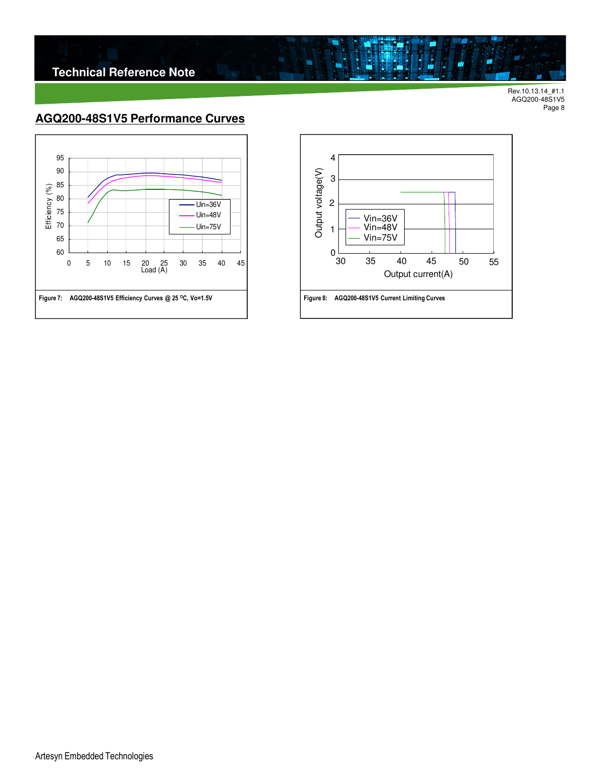

## **AGQ200-48S1V5 Performance Curves**





ä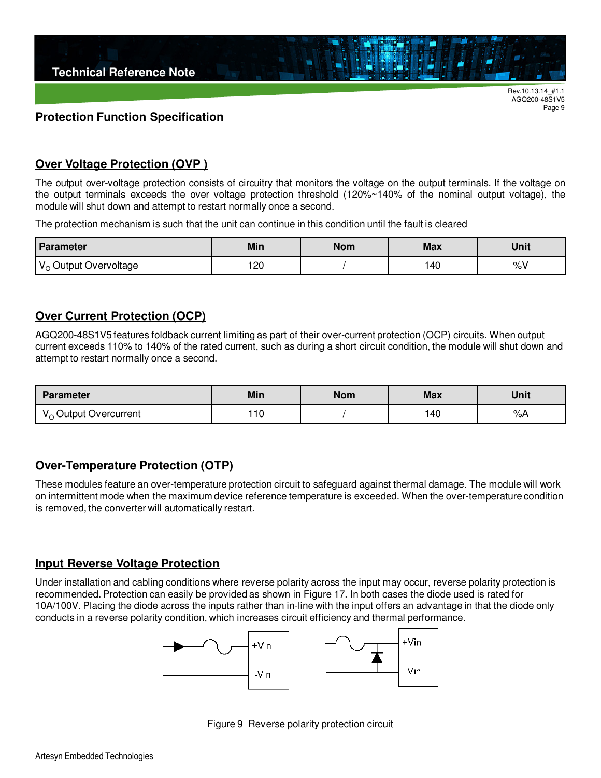

#### **Protection Function Specification**

### **Over Voltage Protection (OVP )**

The output over-voltage protection consists of circuitry that monitors the voltage on the output terminals. If the voltage on the output terminals exceeds the over voltage protection threshold (120%~140% of the nominal output voltage), the module will shut down and attempt to restart normally once a second.

The protection mechanism is such that the unit can continue in this condition until the fault is cleared

| Parameter                         | Min | <b>Nom</b> | <b>Max</b> | <b>Unit</b> |
|-----------------------------------|-----|------------|------------|-------------|
| V <sub>o</sub> Output Overvoltage | 120 |            | -40        | O/<br>70 V  |

#### **Over Current Protection (OCP)**

AGQ200-48S1V5 features foldback current limiting as part of their over-current protection (OCP) circuits. When output current exceeds 110% to 140% of the rated current, such as during a short circuit condition, the module will shut down and attempt to restart normally once a second.

| <b>Parameter</b>                                     | <b>Min</b> | <b>Nom</b> |    | <b>Unit</b> |  |
|------------------------------------------------------|------------|------------|----|-------------|--|
| , Output Overcurrent<br>$\mathsf{v} \cap \mathsf{v}$ | 10         |            | 40 | %A          |  |

#### **Over-Temperature Protection (OTP)**

These modules feature an over-temperature protection circuit to safeguard against thermal damage. The module will work on intermittent mode when the maximum device reference temperature is exceeded. When the over-temperature condition is removed, the converter will automatically restart.

#### **Input Reverse Voltage Protection**

Under installation and cabling conditions where reverse polarity across the input may occur, reverse polarity protection is recommended. Protection can easily be provided as shown in Figure 17. In both cases the diode used is rated for 10A/100V. Placing the diode across the inputs rather than in-line with the input offers an advantage in that the diode only conducts in a reverse polarity condition, which increases circuit efficiency and thermal performance.



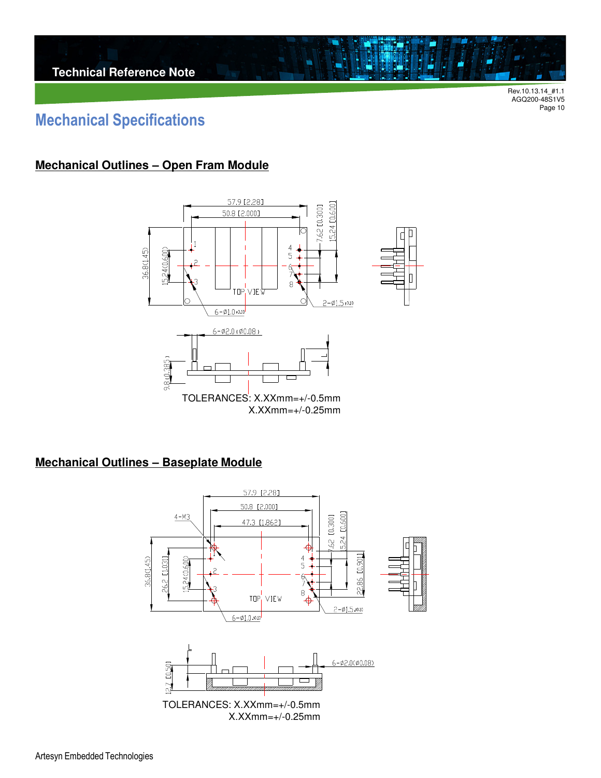## **Mechanical Specifications**

### **Mechanical Outlines – Open Fram Module**



### **Mechanical Outlines – Baseplate Module**

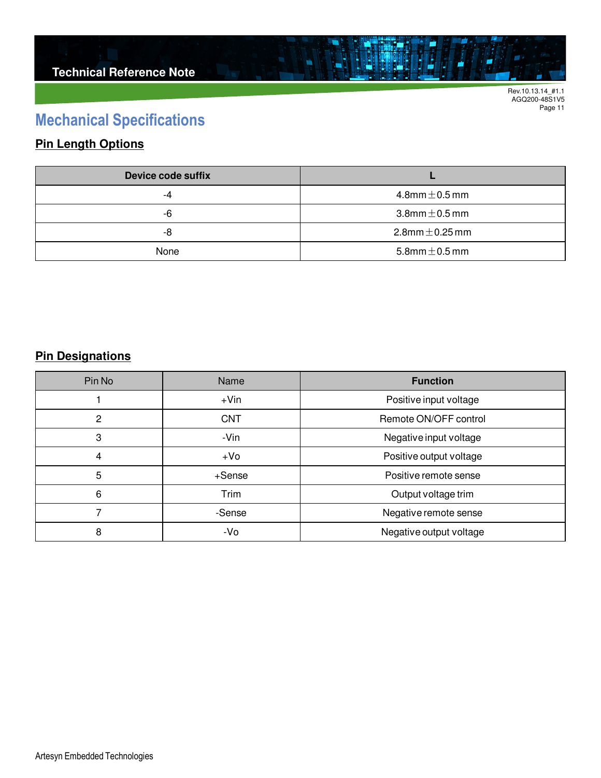## **Mechanical Specifications**

## **Pin Length Options**

| Device code suffix |                        |  |  |
|--------------------|------------------------|--|--|
| -4                 | 4.8mm $\pm$ 0.5 mm     |  |  |
| -6                 | $3.8$ mm $\pm$ 0.5 mm  |  |  |
| -8                 | $2.8$ mm $\pm$ 0.25 mm |  |  |
| None               | 5.8mm $\pm$ 0.5 mm     |  |  |

ä

### **Pin Designations**

| Pin No         | Name       | <b>Function</b>         |  |  |
|----------------|------------|-------------------------|--|--|
|                | $+V$ in    | Positive input voltage  |  |  |
| $\overline{2}$ | <b>CNT</b> | Remote ON/OFF control   |  |  |
| 3              | -Vin       | Negative input voltage  |  |  |
| 4              | $+VO$      | Positive output voltage |  |  |
| 5              | +Sense     | Positive remote sense   |  |  |
| 6              | Trim       | Output voltage trim     |  |  |
|                | -Sense     | Negative remote sense   |  |  |
| 8              | -Vo        | Negative output voltage |  |  |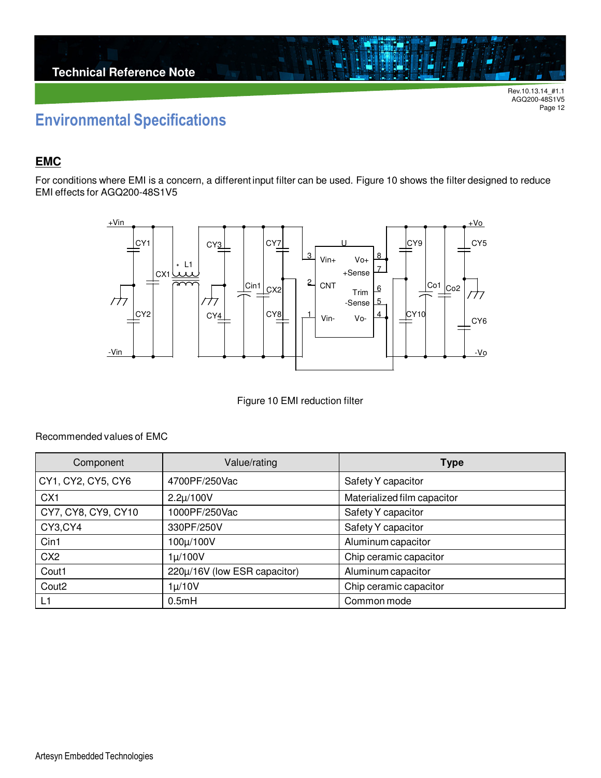## **Environmental Specifications**

### **EMC**

For conditions where EMI is a concern, a different input filter can be used. Figure 10 shows the filter designed to reduce EMI effects for AGQ200-48S1V5



Figure 10 EMI reduction filter

Recommended values of EMC

| Component           | Value/rating                 | <b>Type</b>                 |  |  |
|---------------------|------------------------------|-----------------------------|--|--|
| CY1, CY2, CY5, CY6  | 4700PF/250Vac                | Safety Y capacitor          |  |  |
| CX <sub>1</sub>     | $2.2\mu/100V$                | Materialized film capacitor |  |  |
| CY7, CY8, CY9, CY10 | 1000PF/250Vac                | Safety Y capacitor          |  |  |
| CY3,CY4             | 330PF/250V                   | Safety Y capacitor          |  |  |
| Cin1                | 100µ/100V                    | Aluminum capacitor          |  |  |
| CX <sub>2</sub>     | $1\mu/100V$                  | Chip ceramic capacitor      |  |  |
| Cout1               | 220µ/16V (low ESR capacitor) | Aluminum capacitor          |  |  |
| Cout <sub>2</sub>   | $1\mu/10V$                   | Chip ceramic capacitor      |  |  |
| L1                  | 0.5mH                        | Common mode                 |  |  |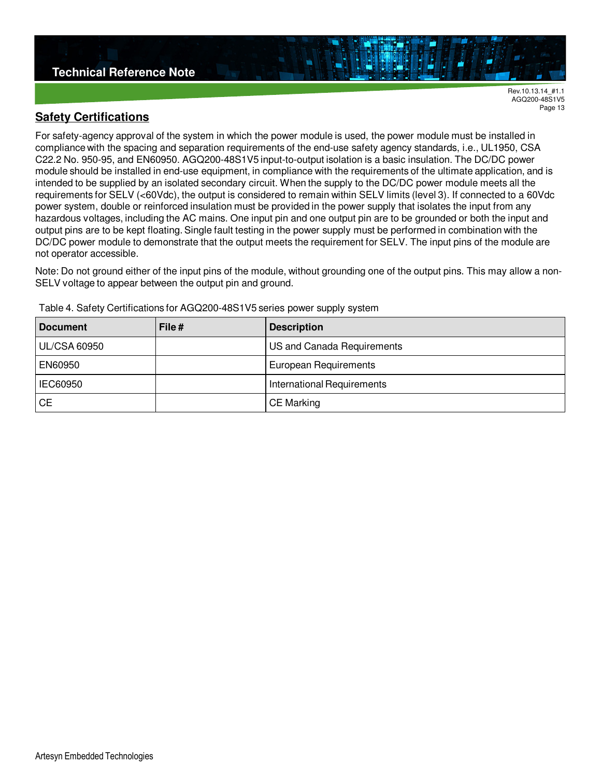#### **Safety Certifications**

For safety-agency approval of the system in which the power module is used, the power module must be installed in compliance with the spacing and separation requirements of the end-use safety agency standards, i.e., UL1950, CSA C22.2 No. 950-95, and EN60950. AGQ200-48S1V5 input-to-output isolation is a basic insulation. The DC/DC power module should be installed in end-use equipment, in compliance with the requirements of the ultimate application, and is intended to be supplied by an isolated secondary circuit. When the supply to the DC/DC power module meets all the requirements for SELV (<60Vdc), the output is considered to remain within SELV limits (level 3). If connected to a 60Vdc power system, double or reinforced insulation must be provided in the power supply that isolates the input from any hazardous voltages, including the AC mains. One input pin and one output pin are to be grounded or both the input and output pins are to be kept floating. Single fault testing in the power supply must be performed in combination with the DC/DC power module to demonstrate that the output meets the requirement for SELV. The input pins of the module are not operator accessible.

Note: Do not ground either of the input pins of the module, without grounding one of the output pins. This may allow a non-SELV voltage to appear between the output pin and ground.

| <b>Document</b>     | File# | <b>Description</b>                |  |  |
|---------------------|-------|-----------------------------------|--|--|
| <b>UL/CSA 60950</b> |       | US and Canada Requirements        |  |  |
| EN60950             |       | European Requirements             |  |  |
| IEC60950            |       | <b>International Requirements</b> |  |  |
| <b>CE</b>           |       | <b>CE Marking</b>                 |  |  |

Table 4. Safety Certifications for AGQ200-48S1V5 series power supply system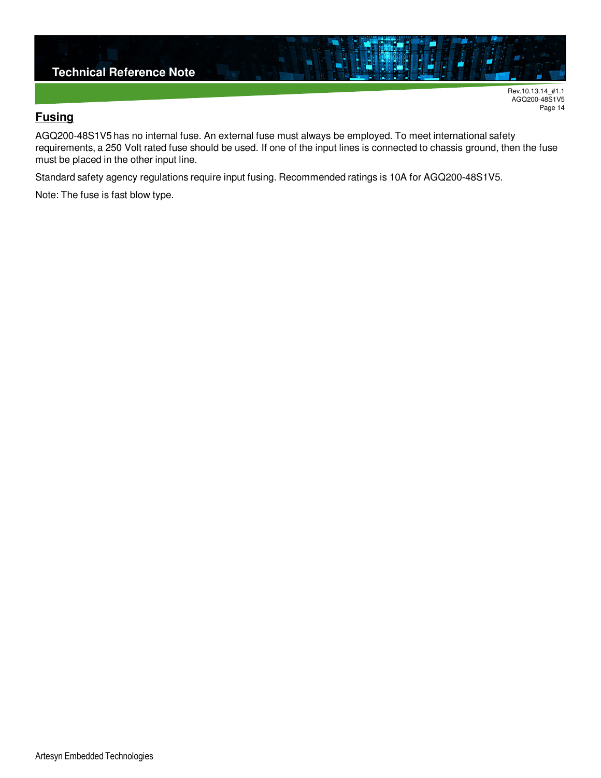

### **Fusing**

AGQ200-48S1V5 has no internal fuse. An external fuse must always be employed. To meet international safety requirements, a 250 Volt rated fuse should be used. If one of the input lines is connected to chassis ground, then the fuse must be placed in the other input line.

Standard safety agency regulations require input fusing. Recommended ratings is 10A for AGQ200-48S1V5.

Note: The fuse is fast blow type.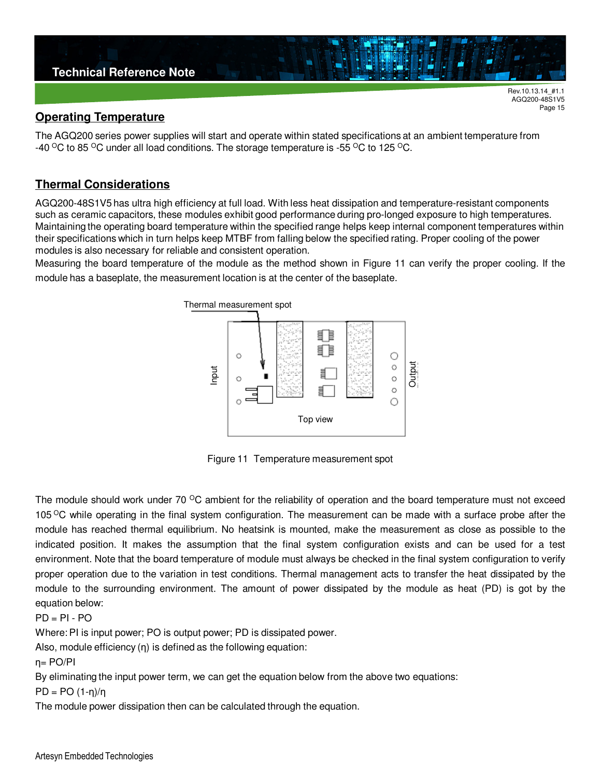

Page 15

#### **Operating Temperature**

The AGQ200 series power supplies will start and operate within stated specifications at an ambient temperature from -40 <sup>o</sup>C to 85 <sup>o</sup>C under all load conditions. The storage temperature is -55 <sup>o</sup>C to 125 <sup>o</sup>C.

#### **Thermal Considerations**

AGQ200-48S1V5 has ultra high efficiency at full load. With less heat dissipation and temperature-resistant components such as ceramic capacitors, these modules exhibit good performance during pro-longed exposure to high temperatures. Maintaining the operating board temperature within the specified range helps keep internal component temperatures within their specifications which in turn helps keep MTBF from falling below the specified rating. Proper cooling of the power modules is also necessary for reliable and consistent operation.

Measuring the board temperature of the module as the method shown in Figure 11 can verify the proper cooling. If the module has a baseplate, the measurement location is at the center of the baseplate.



Figure 11 Temperature measurement spot

The module should work under 70  $\degree$ C ambient for the reliability of operation and the board temperature must not exceed 105 <sup>o</sup>C while operating in the final system configuration. The measurement can be made with a surface probe after the module has reached thermal equilibrium. No heatsink is mounted, make the measurement as close as possible to the indicated position. It makes the assumption that the final system configuration exists and can be used for a test environment. Note that the board temperature of module must always be checked in the final system configuration to verify proper operation due to the variation in test conditions. Thermal management acts to transfer the heat dissipated by the module to the surrounding environment. The amount of power dissipated by the module as heat (PD) is got by the equation below:

 $PD = PI - PO$ 

Where: PI is input power; PO is output power; PD is dissipated power.

Also, module efficiency (η) is defined as the following equation:

η= PO/PI

By eliminating the input power term, we can get the equation below from the above two equations:

PD = PO (1-η)/η

The module power dissipation then can be calculated through the equation.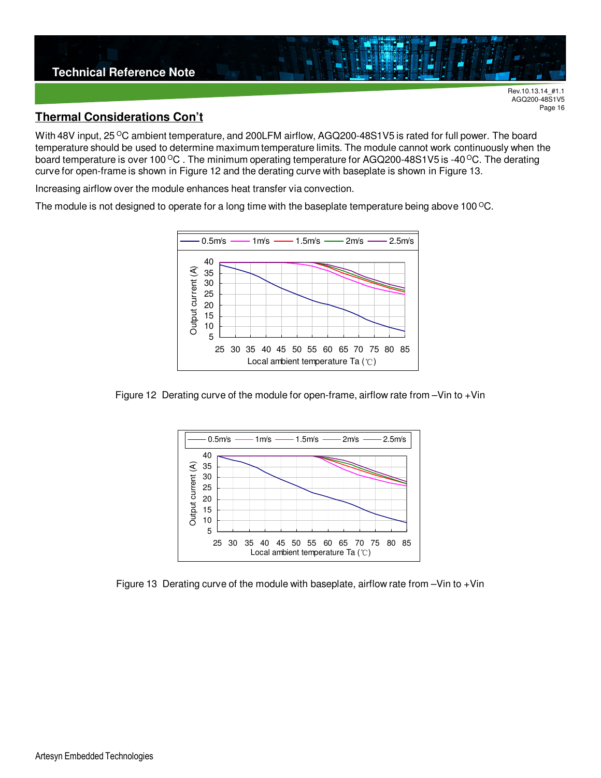

#### **Thermal Considerations Con't**

With 48V input, 25 <sup>o</sup>C ambient temperature, and 200LFM airflow, AGQ200-48S1V5 is rated for full power. The board temperature should be used to determine maximum temperature limits. The module cannot work continuously when the board temperature is over 100 <sup>o</sup>C. The minimum operating temperature for AGQ200-48S1V5 is -40 <sup>o</sup>C. The derating curve for open-frame is shown in Figure 12 and the derating curve with baseplate is shown in Figure 13.

Increasing airflow over the module enhances heat transfer via convection.

The module is not designed to operate for a long time with the baseplate temperature being above 100 $\degree$ C.



Figure 12 Derating curve of the module for open-frame, airflow rate from –Vin to +Vin



Figure 13 Derating curve of the module with baseplate, airflow rate from –Vin to +Vin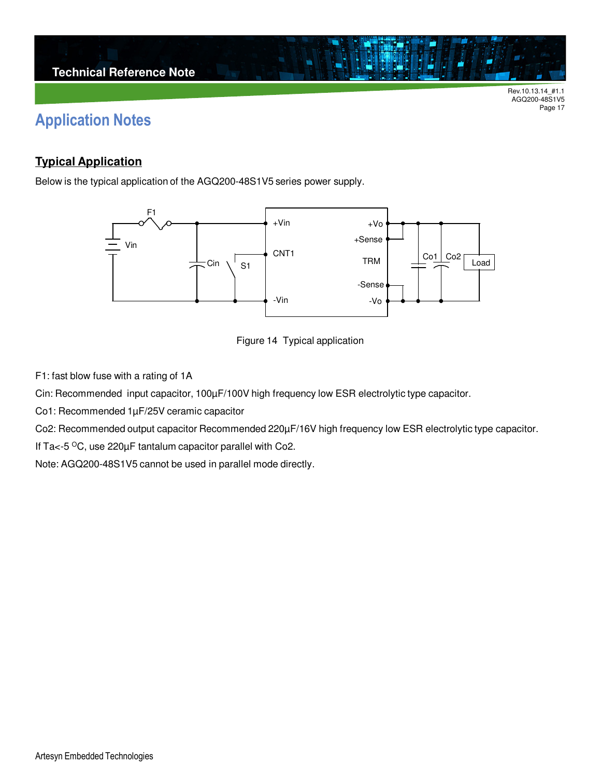## **Application Notes**

### **Typical Application**

Below is the typical application of the AGQ200-48S1V5 series power supply.





F1: fast blow fuse with a rating of 1A

Cin: Recommended input capacitor, 100µF/100V high frequency low ESR electrolytic type capacitor.

Co1: Recommended 1µF/25V ceramic capacitor

Co2: Recommended output capacitor Recommended 220µF/16V high frequency low ESR electrolytic type capacitor.

If Ta $<$ -5  $\mathrm{^{\circ}C}$ , use 220 $\mu$ F tantalum capacitor parallel with Co2.

Note: AGQ200-48S1V5 cannot be used in parallel mode directly.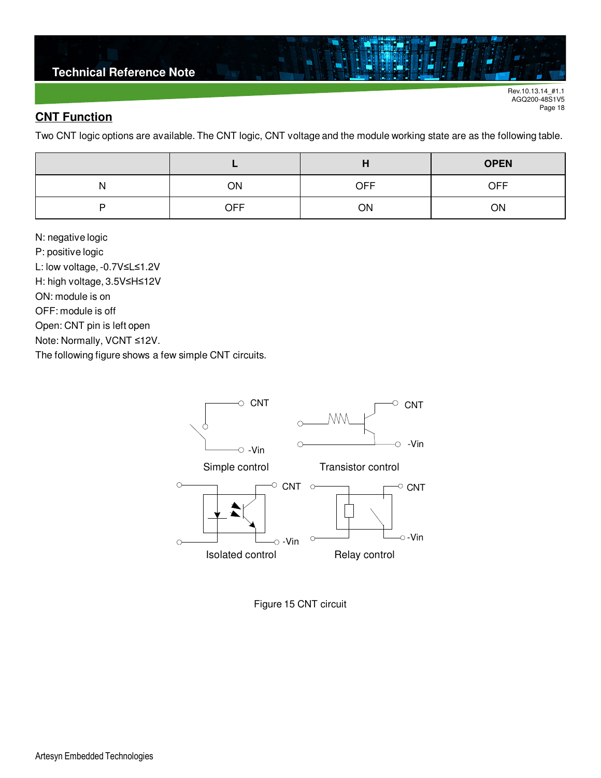### **Technical Reference Note**

Rev.10.13.14\_#1.1 AGQ200-48S1V5 Page 18

### **CNT Function**

Two CNT logic options are available. The CNT logic, CNT voltage and the module working state are as the following table.

|   |            |            | <b>OPEN</b> |  |
|---|------------|------------|-------------|--|
| N | ON         | <b>OFF</b> | <b>OFF</b>  |  |
| ▫ | <b>OFF</b> | ON         | ΟN          |  |

N: negative logic P: positive logic L: low voltage, -0.7V≤L≤1.2V H: high voltage, 3.5V≤H≤12V ON: module is on OFF: module is off Open: CNT pin is left open Note: Normally, VCNT ≤12V. The following figure shows a few simple CNT circuits.



Figure 15 CNT circuit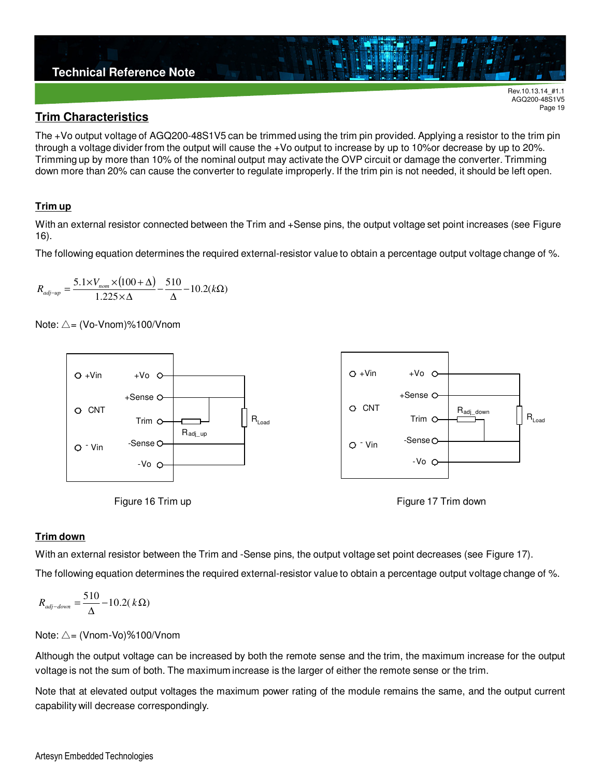

#### **Trim Characteristics**

The +Vo output voltage of AGQ200-48S1V5 can be trimmed using the trim pin provided. Applying a resistor to the trim pin through a voltage divider from the output will cause the +Vo output to increase by up to 10%or decrease by up to 20%. Trimming up by more than 10% of the nominal output may activate the OVP circuit or damage the converter. Trimming down more than 20% can cause the converter to regulate improperly. If the trim pin is not needed, it should be left open.

#### **Trim up**

With an external resistor connected between the Trim and +Sense pins, the output voltage set point increases (see Figure 16).

The following equation determines the required external-resistor value to obtain a percentage output voltage change of %.

$$
R_{adj-up} = \frac{5.1 \times V_{nom} \times (100 + \Delta)}{1.225 \times \Delta} - \frac{510}{\Delta} - 10.2(k\Omega)
$$

Note: △= (Vo-Vnom)%100/Vnom







AGQ200-48S1V5 Page 19

#### **Trim down**

With an external resistor between the Trim and -Sense pins, the output voltage set point decreases (see Figure 17).

The following equation determines the required external-resistor value to obtain a percentage output voltage change of %.

$$
R_{\text{adj-down}} = \frac{510}{\Delta} - 10.2(\,k\Omega)
$$

Note: △= (Vnom-Vo)%100/Vnom

Although the output voltage can be increased by both the remote sense and the trim, the maximum increase for the output voltage is not the sum of both. The maximum increase is the larger of either the remote sense or the trim.

Note that at elevated output voltages the maximum power rating of the module remains the same, and the output current capability will decrease correspondingly.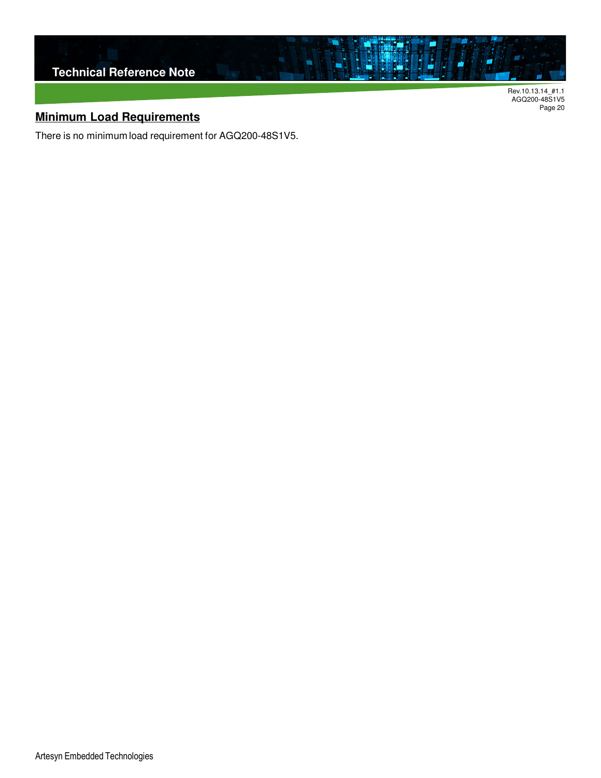

AGQ200-48S1V5 Page 20

## **Minimum Load Requirements**

There is no minimum load requirement for AGQ200-48S1V5.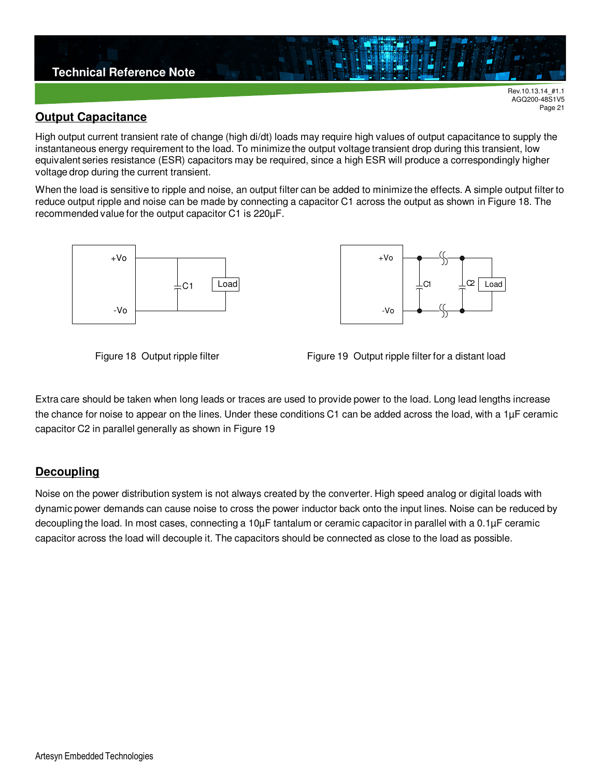

#### **Output Capacitance**

High output current transient rate of change (high di/dt) loads may require high values of output capacitance to supply the instantaneous energy requirement to the load. To minimize the output voltage transient drop during this transient, low equivalent series resistance (ESR) capacitors may be required, since a high ESR will produce a correspondingly higher voltage drop during the current transient.

When the load is sensitive to ripple and noise, an output filter can be added to minimize the effects. A simple output filter to reduce output ripple and noise can be made by connecting a capacitor C1 across the output as shown in Figure 18. The recommended value for the output capacitor C1 is 220µF.





AGQ200-48S1V5 Page 21



Extra care should be taken when long leads or traces are used to provide power to the load. Long lead lengths increase the chance for noise to appear on the lines. Under these conditions C1 can be added across the load, with a 1µF ceramic capacitor C2 in parallel generally as shown in Figure 19

#### **Decoupling**

Noise on the power distribution system is not always created by the converter. High speed analog or digital loads with dynamic power demands can cause noise to cross the power inductor back onto the input lines. Noise can be reduced by decoupling the load. In most cases, connecting a 10µF tantalum or ceramic capacitor in parallel with a 0.1µF ceramic capacitor across the load will decouple it. The capacitors should be connected as close to the load as possible.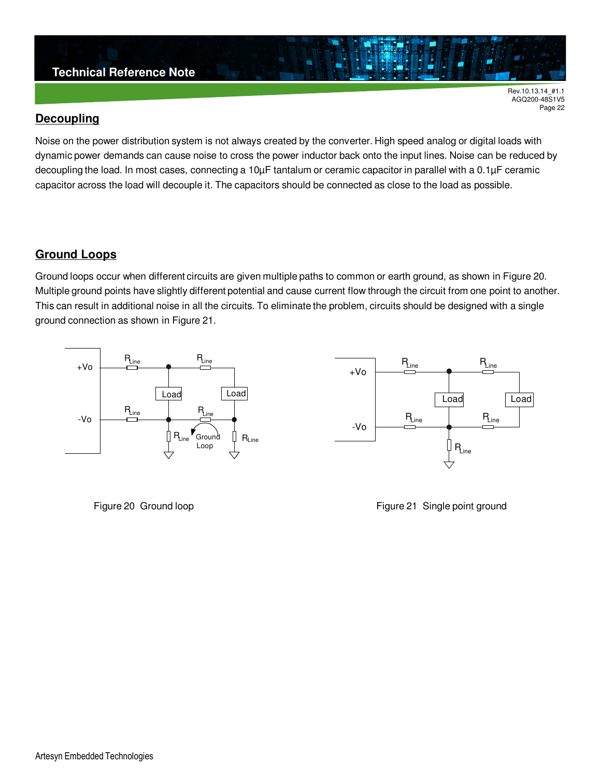### **Technical Reference Note**

Rev.10.13.14\_#1.1 AGQ200-48S1V5 Page 22

#### **Decoupling**

Noise on the power distribution system is not always created by the converter. High speed analog or digital loads with dynamic power demands can cause noise to cross the power inductor back onto the input lines. Noise can be reduced by decoupling the load. In most cases, connecting a 10µF tantalum or ceramic capacitor in parallel with a 0.1µF ceramic capacitor across the load will decouple it. The capacitors should be connected as close to the load as possible.

#### **Ground Loops**

Ground loops occur when different circuits are given multiple paths to common or earth ground, as shown in Figure 20. Multiple ground points have slightly different potential and cause current flow through the circuit from one point to another. This can result in additional noise in all the circuits. To eliminate the problem, circuits should be designed with a single ground connection as shown in Figure 21.





Figure 20 Ground loop **Figure 21 Single point ground**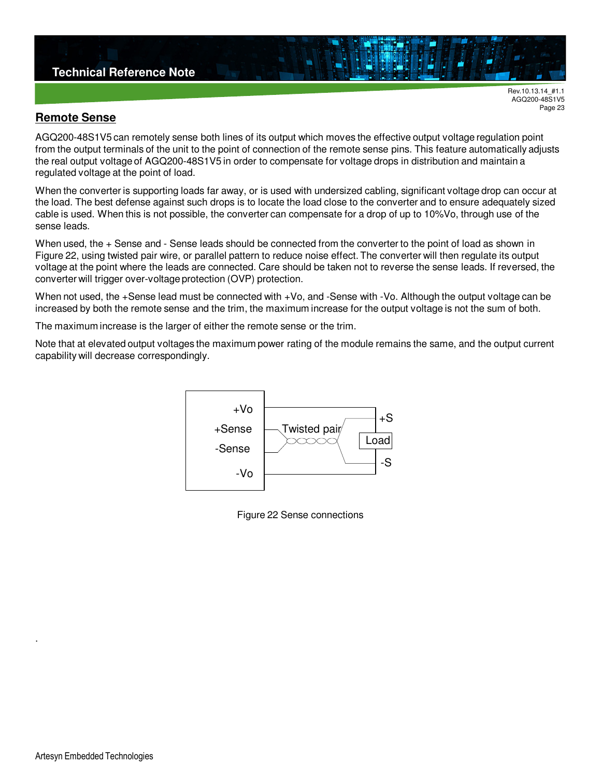#### **Technical Reference Note**

Rev.10.13.14\_#1.1 AGQ200-48S1V5 Page 23

#### **Remote Sense**

AGQ200-48S1V5 can remotely sense both lines of its output which moves the effective output voltage regulation point from the output terminals of the unit to the point of connection of the remote sense pins. This feature automatically adjusts the real output voltage of AGQ200-48S1V5 in order to compensate for voltage drops in distribution and maintain a regulated voltage at the point of load.

When the converter is supporting loads far away, or is used with undersized cabling, significant voltage drop can occur at the load. The best defense against such drops is to locate the load close to the converter and to ensure adequately sized cable is used. When this is not possible, the converter can compensate for a drop of up to 10%Vo, through use of the sense leads.

When used, the + Sense and - Sense leads should be connected from the converter to the point of load as shown in Figure 22, using twisted pair wire, or parallel pattern to reduce noise effect. The converter will then regulate its output voltage at the point where the leads are connected. Care should be taken not to reverse the sense leads. If reversed, the converter will trigger over-voltage protection (OVP) protection.

When not used, the +Sense lead must be connected with +Vo, and -Sense with -Vo. Although the output voltage can be increased by both the remote sense and the trim, the maximum increase for the output voltage is not the sum of both.

The maximum increase is the larger of either the remote sense or the trim.

Note that at elevated output voltages the maximum power rating of the module remains the same, and the output current capability will decrease correspondingly.



Figure 22 Sense connections

.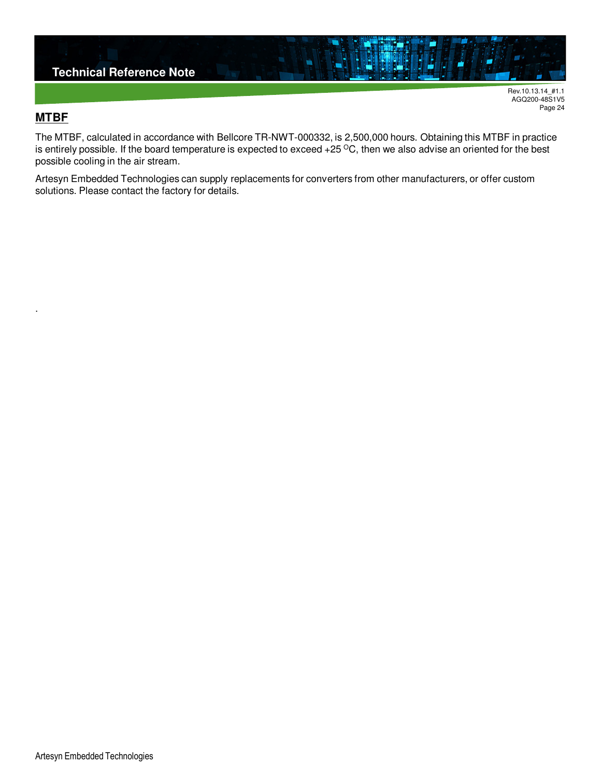

### **MTBF**

.

The MTBF, calculated in accordance with Bellcore TR-NWT-000332, is 2,500,000 hours. Obtaining this MTBF in practice is entirely possible. If the board temperature is expected to exceed  $+25\,^{\circ}\text{C}$ , then we also advise an oriented for the best possible cooling in the air stream.

Artesyn Embedded Technologies can supply replacements for converters from other manufacturers, or offer custom solutions. Please contact the factory for details.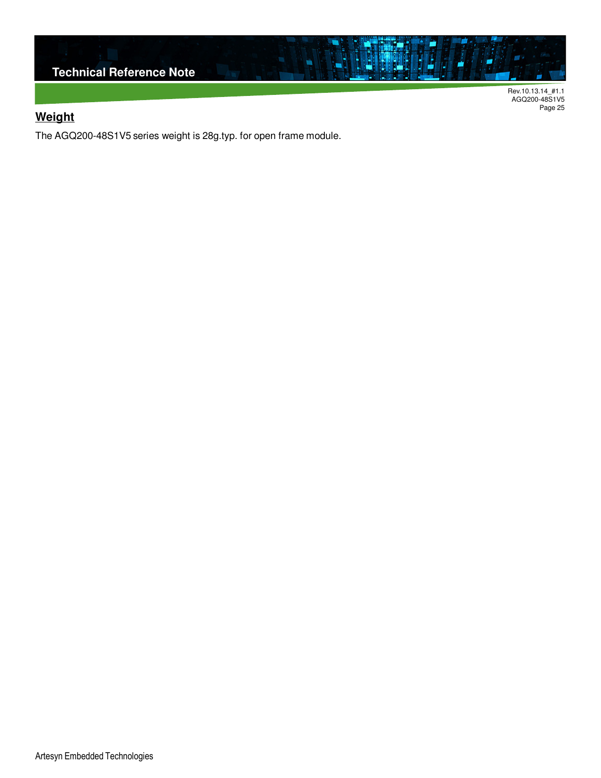

AGQ200-48S1V5 Page 25

## **Weight**

The AGQ200-48S1V5 series weight is 28g.typ. for open frame module.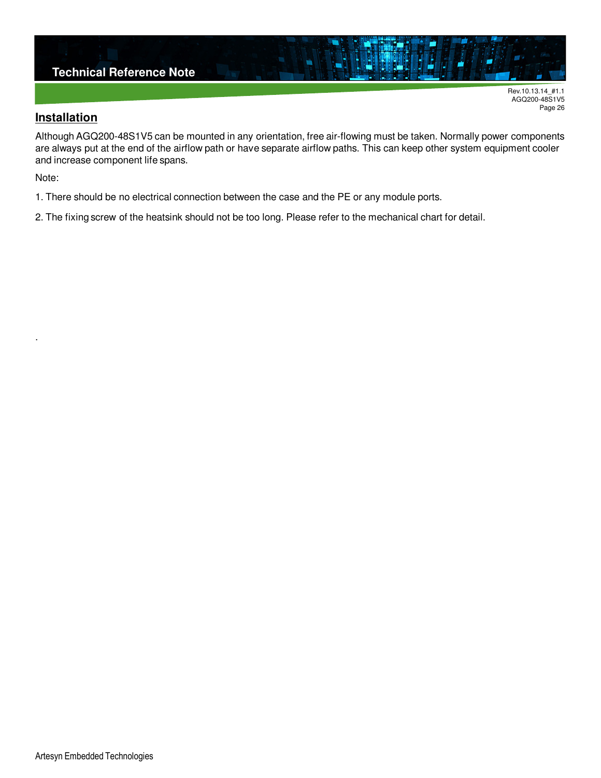

#### **Installation**

Although AGQ200-48S1V5 can be mounted in any orientation, free air-flowing must be taken. Normally power components are always put at the end of the airflow path or have separate airflow paths. This can keep other system equipment cooler and increase component life spans.

Note:

.

1. There should be no electrical connection between the case and the PE or any module ports.

2. The fixing screw of the heatsink should not be too long. Please refer to the mechanical chart for detail.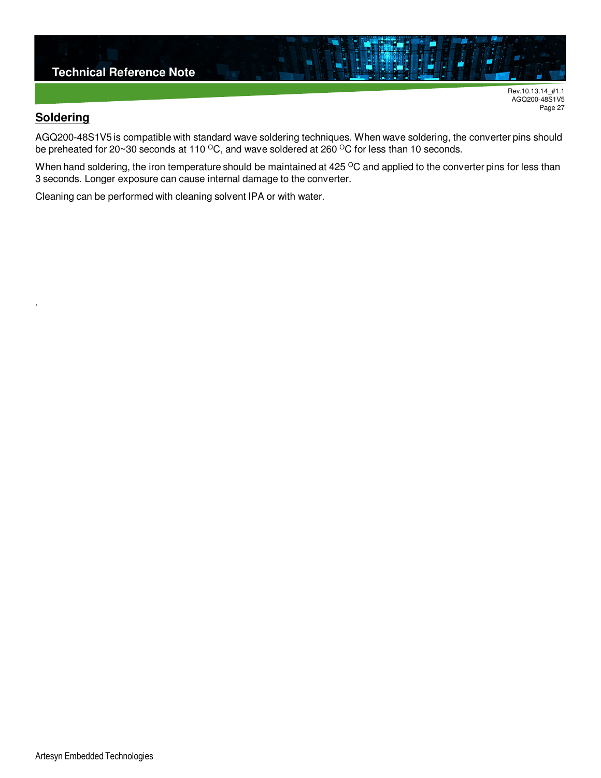

#### **Soldering**

.

AGQ200-48S1V5 is compatible with standard wave soldering techniques. When wave soldering, the converter pins should be preheated for 20~30 seconds at 110  $\rm{^{\circ}C}$ , and wave soldered at 260  $\rm{^{\circ}C}$  for less than 10 seconds.

When hand soldering, the iron temperature should be maintained at 425 °C and applied to the converter pins for less than 3 seconds. Longer exposure can cause internal damage to the converter.

Cleaning can be performed with cleaning solvent IPA or with water.